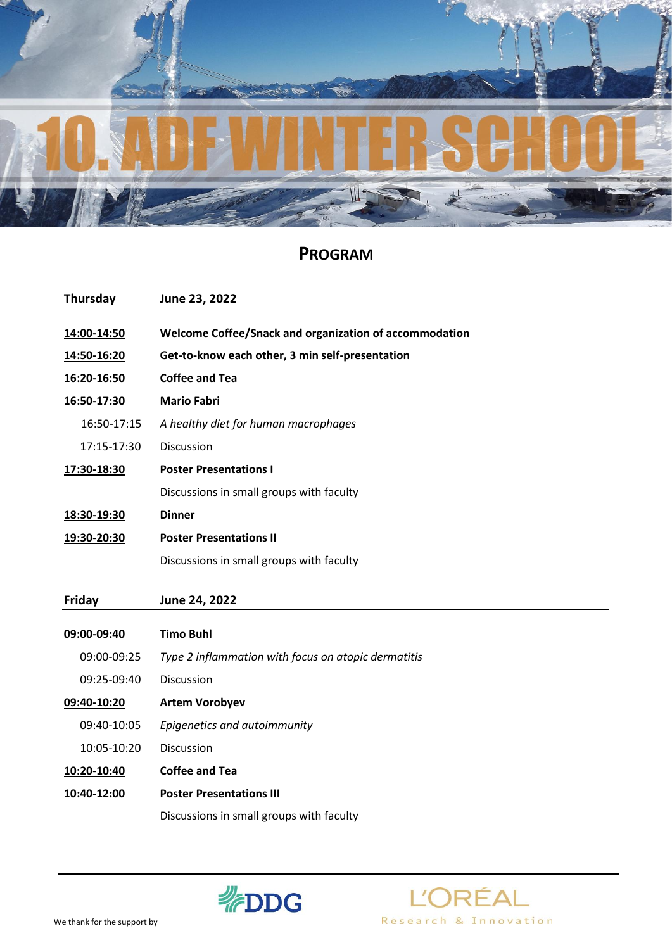

## **PROGRAM**

| Thursday    | June 23, 2022                                          |
|-------------|--------------------------------------------------------|
|             |                                                        |
| 14:00-14:50 | Welcome Coffee/Snack and organization of accommodation |
| 14:50-16:20 | Get-to-know each other, 3 min self-presentation        |
| 16:20-16:50 | <b>Coffee and Tea</b>                                  |
| 16:50-17:30 | <b>Mario Fabri</b>                                     |
| 16:50-17:15 | A healthy diet for human macrophages                   |
| 17:15-17:30 | <b>Discussion</b>                                      |
| 17:30-18:30 | <b>Poster Presentations I</b>                          |
|             | Discussions in small groups with faculty               |
| 18:30-19:30 | <b>Dinner</b>                                          |
| 19:30-20:30 | <b>Poster Presentations II</b>                         |
|             | Discussions in small groups with faculty               |
|             |                                                        |
| Friday      | June 24, 2022                                          |
| 09:00-09:40 | <b>Timo Buhl</b>                                       |
| 09:00-09:25 | Type 2 inflammation with focus on atopic dermatitis    |
| 09:25-09:40 | <b>Discussion</b>                                      |
| 09:40-10:20 | <b>Artem Vorobyev</b>                                  |
| 09:40-10:05 | Epigenetics and autoimmunity                           |
| 10:05-10:20 | Discussion                                             |
| 10:20-10:40 | <b>Coffee and Tea</b>                                  |
| 10:40-12:00 | <b>Poster Presentations III</b>                        |
|             | Discussions in small groups with faculty               |